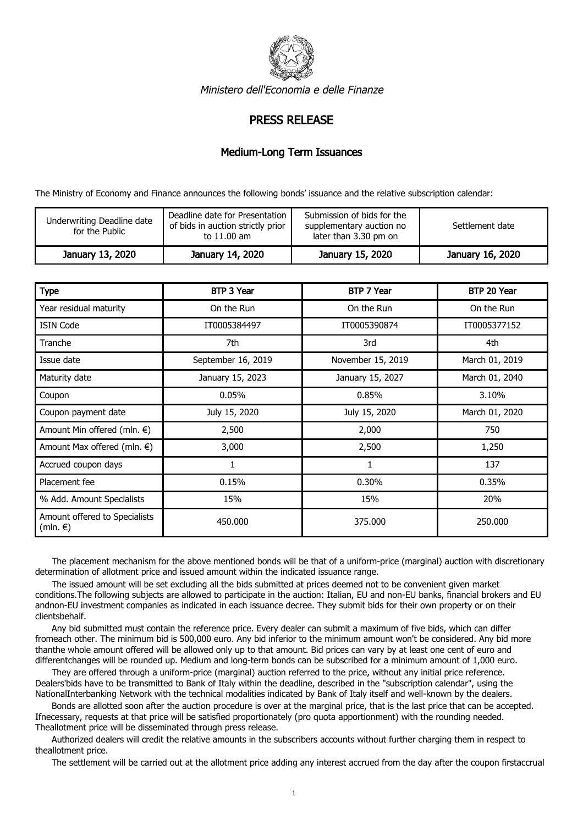

Ministero dell'Economia e delle Finanze

## PRESS RELEASE

## Medium-Long Term Issuances

The Ministry of Economy and Finance announces the following bonds' issuance and the relative subscription calendar:

| Underwriting Deadline date<br>for the Public | Deadline date for Presentation<br>of bids in auction strictly prior<br>to 11.00 am | Submission of bids for the<br>supplementary auction no<br>later than 3.30 pm on | Settlement date  |
|----------------------------------------------|------------------------------------------------------------------------------------|---------------------------------------------------------------------------------|------------------|
| January 13, 2020                             | January 14, 2020                                                                   | January 15, 2020                                                                | January 16, 2020 |

| <b>Type</b>                               | <b>BTP 3 Year</b>  | BTP 7 Year        | BTP 20 Year    |
|-------------------------------------------|--------------------|-------------------|----------------|
| Year residual maturity                    | On the Run         | On the Run        | On the Run     |
| <b>ISIN Code</b>                          | IT0005384497       | IT0005390874      | IT0005377152   |
| Tranche                                   | 7th                | 3rd               | 4th            |
| Issue date                                | September 16, 2019 | November 15, 2019 | March 01, 2019 |
| Maturity date                             | January 15, 2023   | January 15, 2027  | March 01, 2040 |
| Coupon                                    | 0.05%              | 0.85%             | 3.10%          |
| Coupon payment date                       | July 15, 2020      | July 15, 2020     | March 01, 2020 |
| Amount Min offered (mln. $\epsilon$ )     | 2,500              | 2,000             | 750            |
| Amount Max offered (mln. $\epsilon$ )     | 3,000              | 2,500             | 1,250          |
| Accrued coupon days                       | 1                  | 1                 | 137            |
| Placement fee                             | 0.15%              | 0.30%             | 0.35%          |
| % Add. Amount Specialists                 | 15%                | 15%               | 20%            |
| Amount offered to Specialists<br>(mln. €) | 450,000            | 375,000           | 250,000        |

 The placement mechanism for the above mentioned bonds will be that of a uniform-price (marginal) auction with discretionary determination of allotment price and issued amount within the indicated issuance range.

 The issued amount will be set excluding all the bids submitted at prices deemed not to be convenient given market conditions.The following subjects are allowed to participate in the auction: Italian, EU and non-EU banks, financial brokers and EU andnon-EU investment companies as indicated in each issuance decree. They submit bids for their own property or on their clientsbehalf.

 Any bid submitted must contain the reference price. Every dealer can submit a maximum of five bids, which can differ fromeach other. The minimum bid is 500,000 euro. Any bid inferior to the minimum amount won't be considered. Any bid more thanthe whole amount offered will be allowed only up to that amount. Bid prices can vary by at least one cent of euro and differentchanges will be rounded up. Medium and long-term bonds can be subscribed for a minimum amount of 1,000 euro.

 They are offered through a uniform-price (marginal) auction referred to the price, without any initial price reference. Dealers'bids have to be transmitted to Bank of Italy within the deadline, described in the "subscription calendar", using the NationalInterbanking Network with the technical modalities indicated by Bank of Italy itself and well-known by the dealers.

 Bonds are allotted soon after the auction procedure is over at the marginal price, that is the last price that can be accepted. Ifnecessary, requests at that price will be satisfied proportionately (pro quota apportionment) with the rounding needed. Theallotment price will be disseminated through press release.

 Authorized dealers will credit the relative amounts in the subscribers accounts without further charging them in respect to theallotment price.

The settlement will be carried out at the allotment price adding any interest accrued from the day after the coupon firstaccrual